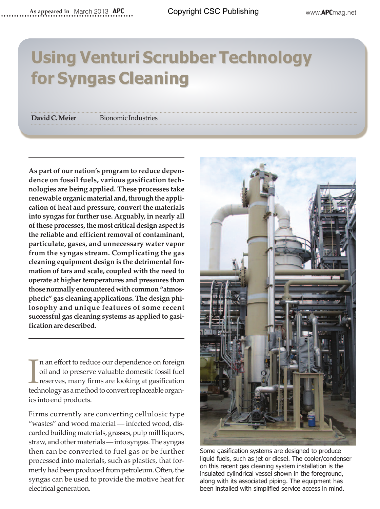## **Using Venturi Scrubber Technology for Syngas Cleaning for Syngas Cleaning**

**David C. Meier** Bionomic Industries

**As part of our nation's program to reduce dependence on fossil fuels, various gasification technologies are being applied. These processes take renewable organic material and, through the application of heat and pressure, convert the materials into syngas for further use. Arguably, in nearly all of these processes, the most critical design aspect is the reliable and efficient removal of contaminant, particulate, gases, and unnecessary water vapor from the syngas stream. Complicating the gas cleaning equipment design is the detrimental formation of tars and scale, coupled with the need to operate at higher temperatures and pressures than those normally encountered with common "atmospheric" gas cleaning applications. The design philosophy and unique features of some recent successful gas cleaning systems as applied to gasification are described.**

In an effort to reduce our dependence on foreign oil and to preserve valuable domestic fossil fuel reserves, many firms are looking at gasification technology as a method to convert replaceable organn an effort to reduce our dependence on foreign oil and to preserve valuable domestic fossil fuel reserves, many firms are looking at gasification ics into end products.

Firms currently are converting cellulosic type "wastes" and wood material — infected wood, discarded building materials, grasses, pulp mill liquors, straw, and other materials — into syngas. The syngas then can be converted to fuel gas or be further processed into materials, such as plastics, that formerly had been produced from petroleum. Often, the syngas can be used to provide the motive heat for electrical generation.



Some gasification systems are designed to produce liquid fuels, such as jet or diesel. The cooler/condenser on this recent gas cleaning system installation is the insulated cylindrical vessel shown in the foreground, along with its associated piping. The equipment has been installed with simplified service access in mind.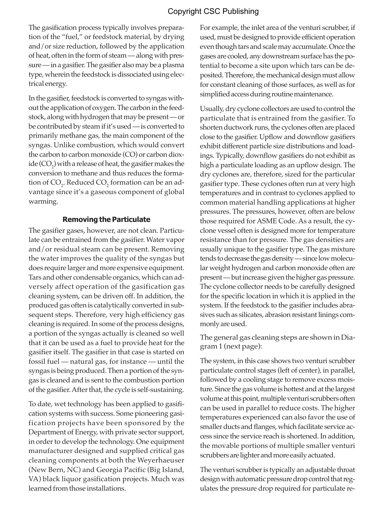The gasification process typically involves preparation of the "fuel," or feedstock material, by drying and/or size reduction, followed by the application of heat, often in the form of steam — along with pressure — in a gasifier. The gasifier also may be a plasma type, wherein the feedstock is dissociated using electrical energy.

In the gasifier, feedstock is converted to syngas without the application of oxygen. The carbon in the feedstock, along with hydrogen that may be present — or be contributed by steam if it's used — is converted to primarily methane gas, the main component of the syngas. Unlike combustion, which would convert the carbon to carbon monoxide (CO) or carbon dioxide (CO<sub>2</sub>) with a release of heat, the gasifier makes the conversion to methane and thus reduces the formation of CO<sub>2</sub>. Reduced CO<sub>2</sub> formation can be an advantage since it's a gaseous component of global warming.

## **Removing the Particulate**

The gasifier gases, however, are not clean. Particulate can be entrained from the gasifier. Water vapor and/or residual steam can be present. Removing the water improves the quality of the syngas but does require larger and more expensive equipment. Tars and other condensable organics, which can adversely affect operation of the gasification gas cleaning system, can be driven off. In addition, the produced gas often is catalytically converted in subsequent steps. Therefore, very high efficiency gas cleaning is required. In some of the process designs, a portion of the syngas actually is cleaned so well that it can be used as a fuel to provide heat for the gasifier itself. The gasifier in that case is started on fossil fuel — natural gas, for instance — until the syngas is being produced. Then a portion of the syngas is cleaned and is sent to the combustion portion of the gasifier. After that, the cycle is self-sustaining.

To date, wet technology has been applied to gasification systems with success. Some pioneering gasification projects have been sponsored by the Department of Energy, with private sector support, in order to develop the technology. One equipment manufacturer designed and supplied critical gas cleaning components at both the Weyerhaeuser (New Bern, NC) and Georgia Pacific (Big Island, VA) black liquor gasification projects. Much was learned from those installations.

For example, the inlet area of the venturi scrubber, if used, must be designed to provide efficient operation even though tars and scale may accumulate. Once the gases are cooled, any downstream surface has the potential to become a site upon which tars can be deposited. Therefore, the mechanical design must allow for constant cleaning of those surfaces, as well as for simplified access during routine maintenance.

Usually, dry cyclone collectors are used to control the particulate that is entrained from the gasifier. To shorten ductwork runs, the cyclones often are placed close to the gasifier. Upflow and downflow gasifiers exhibit different particle size distributions and loadings. Typically, downflow gasifiers do not exhibit as high a particulate loading as an upflow design. The dry cyclones are, therefore, sized for the particular gasifier type. These cyclones often run at very high temperatures and in contrast to cyclones applied to common material handling applications at higher pressures. The pressures, however, often are below those required for ASME Code. As a result, the cyclone vessel often is designed more for temperature resistance than for pressure. The gas densities are usually unique to the gasifier type. The gas mixture tends to decrease the gas density — since low molecular weight hydrogen and carbon monoxide often are present — but increase given the higher gas pressure. The cyclone collector needs to be carefully designed for the specific location in which it is applied in the system. If the feedstock to the gasifier includes abrasives such as silicates, abrasion resistant linings commonly are used.

The general gas cleaning steps are shown in Diagram 1 (next page):

The system, in this case shows two venturi scrubber particulate control stages (left of center), in parallel, followed by a cooling stage to remove excess moisture. Since the gas volume is hottest and at the largest volume at this point, multiple venturi scrubbers often can be used in parallel to reduce costs. The higher temperatures experienced can also favor the use of smaller ducts and flanges, which facilitate service access since the service reach is shortened. In addition, the movable portions of multiple smaller venturi scrubbers are lighter and more easily actuated.

The venturi scrubber is typically an adjustable throat design with automatic pressure drop control that regulates the pressure drop required for particulate re-